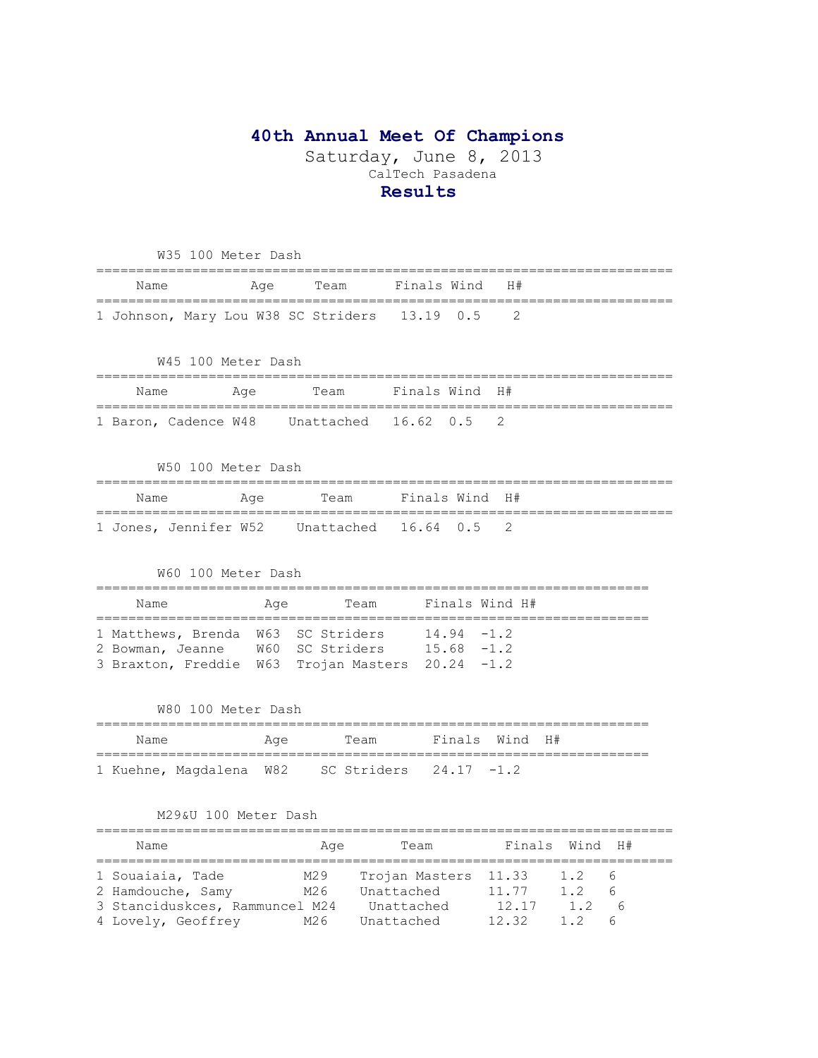# **40th Annual Meet Of Champions**

Saturday, June 8, 2013 CalTech Pasadena **Results**

| W35 100 Meter Dash                               |     |                    |                |               |                |            |    |
|--------------------------------------------------|-----|--------------------|----------------|---------------|----------------|------------|----|
| Name<br>=====================                    | Age | Team               | Finals Wind    |               | H#             |            |    |
| 1 Johnson, Mary Lou W38 SC Striders              |     |                    | 13.19          | 0.5           | 2              |            |    |
| W45 100 Meter Dash                               |     |                    |                |               |                |            |    |
|                                                  |     |                    |                |               |                |            |    |
| Name<br>==============================           | Age | Team               | Finals Wind H# |               |                |            |    |
| 1 Baron, Cadence W48                             |     | Unattached         | 16.62          | 0.5           | 2              |            |    |
| W50 100 Meter Dash                               |     |                    |                |               |                |            |    |
| Name                                             | Age | Team               | Finals Wind H# |               |                |            |    |
| 1 Jones, Jennifer W52 Unattached 16.64 0.5       |     |                    |                |               | 2              |            |    |
| W60 100 Meter Dash                               |     |                    |                |               |                |            |    |
| Name                                             | Age | Team               |                |               | Finals Wind H# |            |    |
| 1 Matthews, Brenda W63 SC Striders               |     |                    |                | $14.94 - 1.2$ |                |            |    |
| 2 Bowman, Jeanne W60 SC Striders 15.68 -1.2      |     |                    |                |               |                |            |    |
| 3 Braxton, Freddie W63 Trojan Masters 20.24 -1.2 |     |                    |                |               |                |            |    |
| W80 100 Meter Dash                               |     |                    |                |               |                |            |    |
| Name                                             | Age | Team               |                |               | Finals Wind H# |            |    |
| 1 Kuehne, Magdalena W82 SC Striders 24.17 -1.2   |     |                    |                |               |                |            |    |
|                                                  |     |                    |                |               |                |            |    |
| M29&U 100 Meter Dash                             |     |                    |                |               |                |            |    |
| Name                                             |     | Age                | Team           |               | Finals         | Wind       | H# |
| 1 Souaiaia, Tade                                 |     | M29 Trojan Masters |                |               | 11.33          | 1.2        | 6  |
| 2 Hamdouche, Samy M26 Unattached                 |     |                    |                |               | 11.77          | $1.2 \t 6$ |    |
| 3 Stanciduskces, Rammuncel M24 Unattached        |     |                    |                |               | 12.17          | $1.2\ 6$   |    |

4 Lovely, Geoffrey M26 Unattached 12.32 1.2 6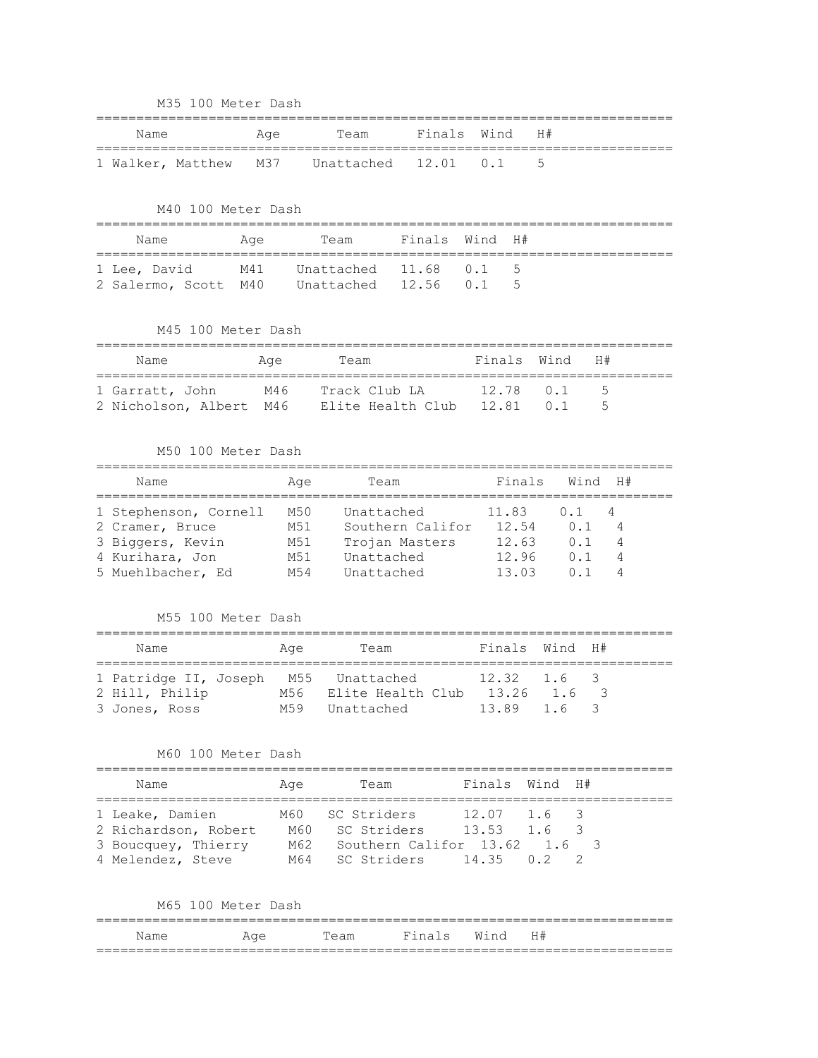|  |  |  | M35 100 Meter Dash |  |
|--|--|--|--------------------|--|
|--|--|--|--------------------|--|

| Name |  | Age Team                                     | Finals Wind H# |  |  |
|------|--|----------------------------------------------|----------------|--|--|
|      |  | 1 Walker, Matthew M37 Unattached 12.01 0.1 5 |                |  |  |

M40 100 Meter Dash

| Name                                        | Aae | Team Finals Wind H# |  |  |
|---------------------------------------------|-----|---------------------|--|--|
| 1 Lee, David M41 Unattached 11.68 0.1 5     |     |                     |  |  |
| 2 Salermo, Scott M40 Unattached 12.56 0.1 5 |     |                     |  |  |

M45 100 Meter Dash

| Name            | Aqe | Team                                                | Finals Wind | — н#                     |  |
|-----------------|-----|-----------------------------------------------------|-------------|--------------------------|--|
| 1 Garratt, John | M46 | Track Club LA                                       | 1278 01 5   |                          |  |
|                 |     | 2 Nicholson, Albert M46 Elite Health Club 12.81 0.1 |             | $\overline{\phantom{a}}$ |  |

# M50 100 Meter Dash

| Name                  | Aae             | Team             | Finals | Wind | - H# |
|-----------------------|-----------------|------------------|--------|------|------|
| 1 Stephenson, Cornell | M50             | Unattached       | 11.83  | 0.1  | - 4  |
| 2 Cramer, Bruce       | M51             | Southern Califor | 12.54  | 0.1  |      |
| 3 Biggers, Kevin      | M51             | Trojan Masters   | 12.63  | 0.1  | 4    |
| 4 Kurihara, Jon       | M51             | Unattached       | 12.96  | 0.1  | 4    |
| 5 Muehlbacher, Ed     | M <sub>54</sub> | Unattached       | 13 03  |      |      |

# M55 100 Meter Dash

| Name                                 | Age | Team              | Finals Wind H#    |  |
|--------------------------------------|-----|-------------------|-------------------|--|
| 1 Patridge II, Joseph M55 Unattached |     |                   | $12.32 \t1.6 \t3$ |  |
| 2 Hill, Philip                       | M56 | Elite Health Club | 13.26 1.6 3       |  |
| 3 Jones, Ross                        | M59 | Unattached        | 13.89 1.6 3       |  |

### M60 100 Meter Dash

| Name                 | Age | Team                        | Finals Wind H#  |     |  |
|----------------------|-----|-----------------------------|-----------------|-----|--|
| 1 Leake, Damien      |     | M60 SC Striders             | $12.07$ $1.6$ 3 |     |  |
| 2 Richardson, Robert |     | M60 SC Striders             | $13.53$ $1.6$ 3 |     |  |
| 3 Boucquey, Thierry  | M62 | Southern Califor 13.62      |                 | 1.6 |  |
| 4 Melendez, Steve    |     | M64 SC Striders 14.35 0.2 2 |                 |     |  |

#### M65 100 Meter Dash

|      |     |      |                              |      | __ |
|------|-----|------|------------------------------|------|----|
| √am∈ | Aqe | 'eam | F <sub>1</sub> n a<br>$\sim$ | Wind | H# |
|      |     |      |                              |      |    |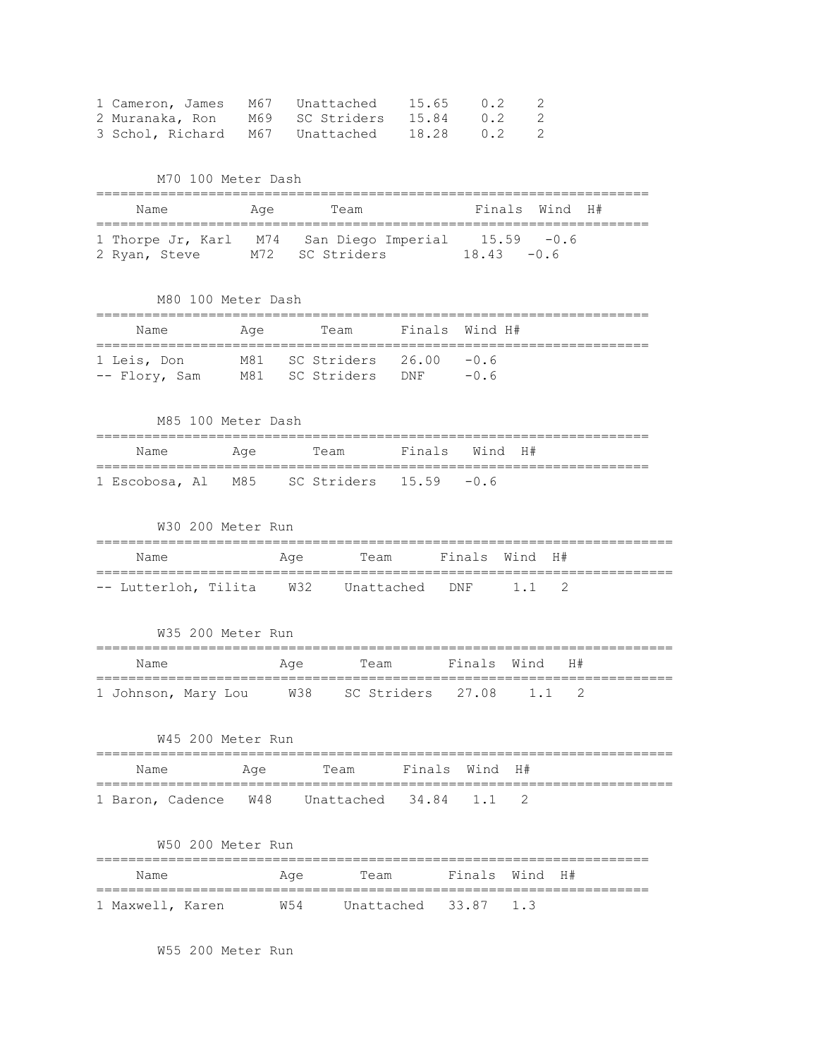| 1 Cameron, James                | M67 Unattached  | 15.65 | 0.2 | - 2 |
|---------------------------------|-----------------|-------|-----|-----|
| 2 Muranaka, Ron                 | M69 SC Striders | 15.84 | 0.2 | - 2 |
| 3 Schol, Richard M67 Unattached |                 | 18.28 | 0.2 | - 2 |

M70 100 Meter Dash

| Name          | Aqe | Team                                                                   | Finals Wind H# |
|---------------|-----|------------------------------------------------------------------------|----------------|
| 2 Ryan, Steve |     | 1 Thorpe Jr, Karl M74 San Diego Imperial 15.59 -0.6<br>M72 SC Striders | 1843 - O.G     |

M80 100 Meter Dash

| Name                         | Aqe | Team                                                  | Finals Wind H# |
|------------------------------|-----|-------------------------------------------------------|----------------|
| 1 Leis, Don<br>-- Flory, Sam |     | $M81$ SC Striders $26.00$ -0.6<br>M81 SC Striders DNF | $-0$ 6         |

|      | M85 100 Meter Dash |                                           |                |  |  |  |
|------|--------------------|-------------------------------------------|----------------|--|--|--|
| Name | Aqe                | Team                                      | Finals Wind H# |  |  |  |
|      |                    | 1 Escobosa, Al M85 SC Striders 15.59 -0.6 |                |  |  |  |

|  | W30 200 Meter Run |  |
|--|-------------------|--|
|  |                   |  |

| Name | Aae | Team |  | Finals Wind H# |  |  |
|------|-----|------|--|----------------|--|--|
|      |     |      |  |                |  |  |

W35 200 Meter Run

| Name                | Age | Team                        | Finals Wind H# |  |  |
|---------------------|-----|-----------------------------|----------------|--|--|
| 1 Johnson, Mary Lou |     | W38 SC Striders 27.08 1.1 2 |                |  |  |

|      | W45 200 Meter Run |                     |  |  |  |
|------|-------------------|---------------------|--|--|--|
| Name | Aae               | Team Finals Wind H# |  |  |  |
|      |                   |                     |  |  |  |

# W50 200 Meter Run

| Name             | Aqe | Team |                        | Finals Wind H# |  |
|------------------|-----|------|------------------------|----------------|--|
| 1 Maxwell, Karen | W54 |      | Unattached $33.87$ 1.3 |                |  |

W55 200 Meter Run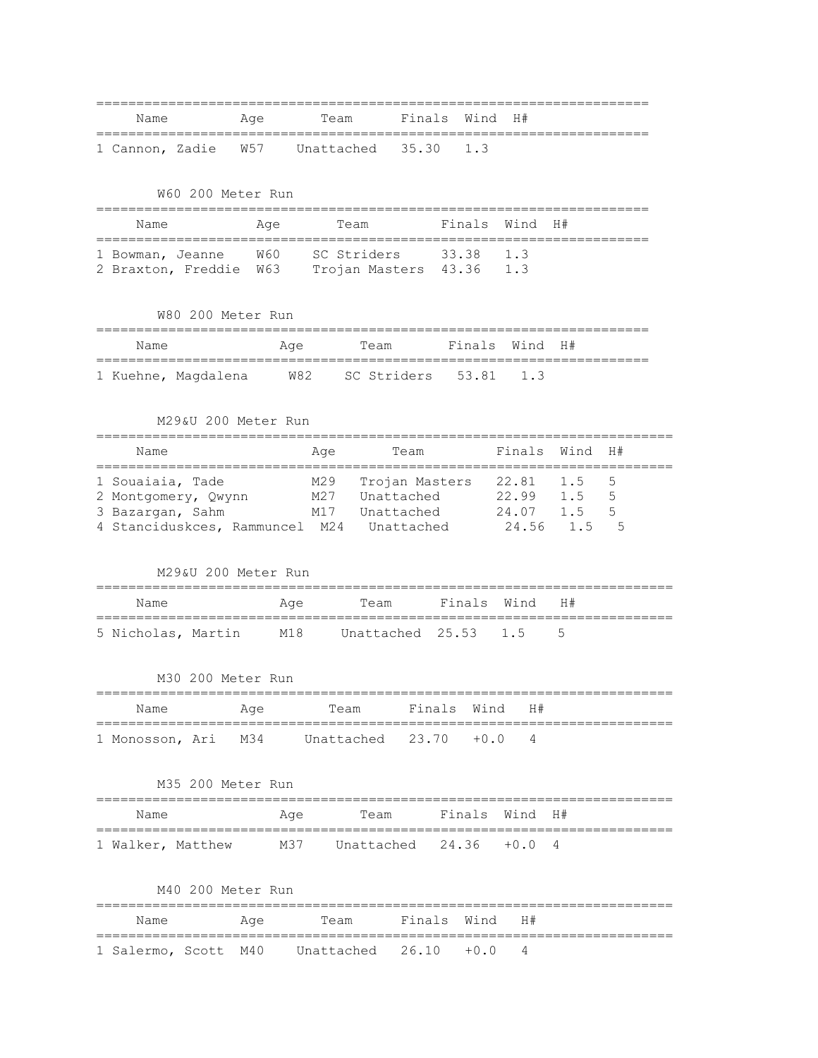| Name |  |  |  | Team Finals Wind H#<br>Aqe               |  |  |  |  |  |  |  |  |
|------|--|--|--|------------------------------------------|--|--|--|--|--|--|--|--|
|      |  |  |  |                                          |  |  |  |  |  |  |  |  |
|      |  |  |  | 1 Cannon, Zadie W57 Unattached 35.30 1.3 |  |  |  |  |  |  |  |  |

W60 200 Meter Run

| Name                                                                 | Age | Team                     | Finals Wind H# |  |
|----------------------------------------------------------------------|-----|--------------------------|----------------|--|
| 1 Bowman, Jeanne W60 SC Striders 33.38 1.3<br>2 Braxton, Freddie W63 |     | Trojan Masters 43.36 1.3 |                |  |

W80 200 Meter Run

| Name |  | Aqe | Team                                          | Finals Wind H# |  |  |  |  |  |  |
|------|--|-----|-----------------------------------------------|----------------|--|--|--|--|--|--|
|      |  |     | 1 Kuehne, Magdalena W82 SC Striders 53.81 1.3 |                |  |  |  |  |  |  |

# M29&U 200 Meter Run

| Name                                      | Age | Team           | Finals Wind H# |     |     |  |  |  |  |  |  |
|-------------------------------------------|-----|----------------|----------------|-----|-----|--|--|--|--|--|--|
| 1 Souaiaia, Tade                          | M29 | Trojan Masters | 22.81          | 1.5 | - 5 |  |  |  |  |  |  |
| 2 Montgomery, Owynn                       | M27 | Unattached     | 22.99          | 1.5 | - 5 |  |  |  |  |  |  |
| 3 Bazargan, Sahm                          | M17 | Unattached     | 24.07 1.5      |     | - 5 |  |  |  |  |  |  |
| 4 Stanciduskces, Rammuncel M24 Unattached |     |                | 24.56 1.5      |     | 5   |  |  |  |  |  |  |

#### M29&U 200 Meter Run

| Name | Aae | Team Finals Wind H#                           |  |  |
|------|-----|-----------------------------------------------|--|--|
|      |     | 5 Nicholas, Martin M18 Unattached 25.53 1.5 5 |  |  |

# M30 200 Meter Run

| Name | Aae | Team Finals Wind H#                         |  |  |
|------|-----|---------------------------------------------|--|--|
|      |     | 1 Monosson, Ari M34 Unattached 23.70 +0.0 4 |  |  |

# M35 200 Meter Run

| Name              | Aae | Team Finals Wind H#         |  |  |
|-------------------|-----|-----------------------------|--|--|
| 1 Walker, Matthew |     | M37 Unattached 24.36 +0.0 4 |  |  |

# M40 200 Meter Run

| Name | Aqe | Team Finals Wind H#                          |  |  |  |
|------|-----|----------------------------------------------|--|--|--|
|      |     | 1 Salermo, Scott M40 Unattached 26.10 +0.0 4 |  |  |  |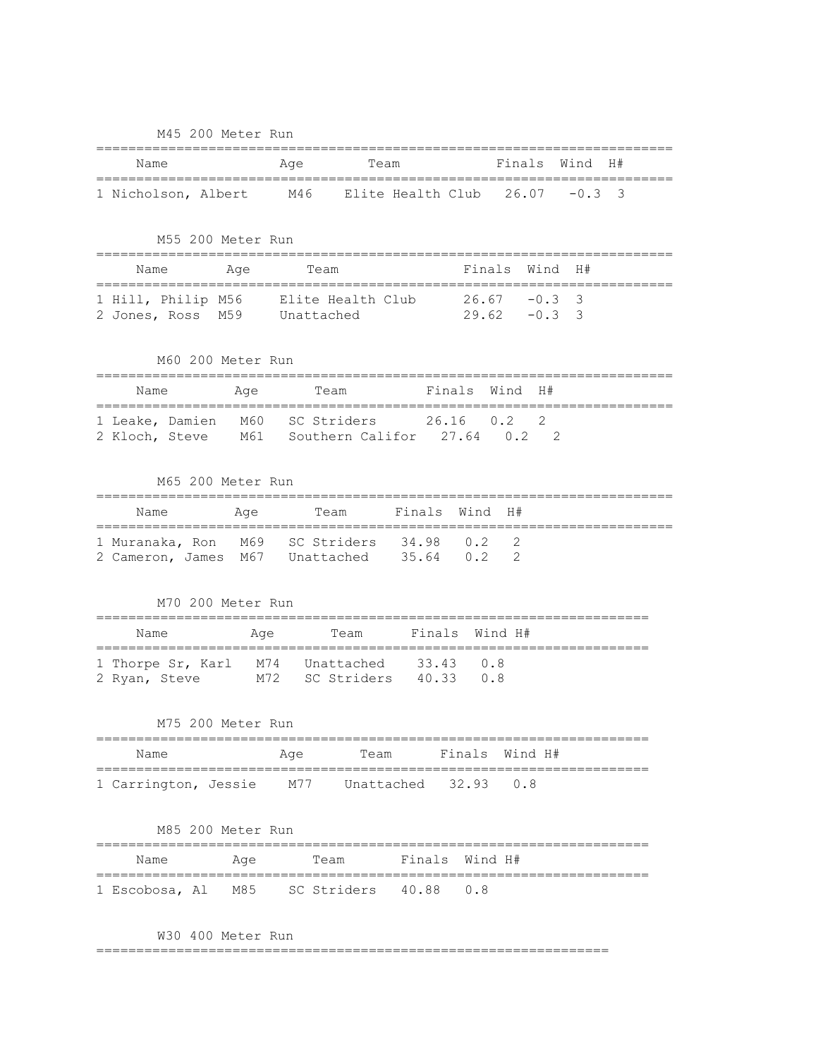| Finals<br>Wind<br>H#<br>Name<br>Age<br>Team<br>Elite Health Club 26.07<br>3<br>1 Nicholson, Albert M46<br>$-0.3$<br>M55 200 Meter Run<br>Finals Wind<br>H#<br>Name<br>Team<br>Aqe<br>==================<br>1 Hill, Philip M56 Elite Health Club 26.67 -0.3<br>3<br>2 Jones, Ross M59 Unattached<br>$29.62 - 0.3$<br>3<br>M60 200 Meter Run<br>Finals<br>Wind<br>H#<br>Name<br>Age<br>Team<br>======<br>1 Leake, Damien M60 SC Striders 26.16 0.2 2<br>2 Kloch, Steve M61 Southern Califor 27.64 0.2 2<br>M65 200 Meter Run<br>Finals Wind<br>H#<br>Team<br>Name<br>Age<br>1 Muranaka, Ron M69 SC Striders 34.98 0.2<br>2<br>2 Cameron, James M67 Unattached 35.64 0.2<br>2<br>M70 200 Meter Run<br>Finals<br>Wind H#<br>Name<br>Team<br>Age<br>1 Thorpe Sr, Karl M74 Unattached 33.43<br>0.8<br>2 Ryan, Steve M72 SC Striders 40.33<br>0.8<br>M75 200 Meter Run<br>:========================<br>Finals<br>Wind H#<br>Name<br>Age<br>Team<br>1 Carrington, Jessie 1977<br>32.93<br>Unattached<br>0.8<br>M85 200 Meter Run<br>Finals<br>Wind H#<br>Name<br>Age<br>Team<br>M85 SC Striders<br>40.88<br>0.8 |                | MAY YOO METEL KUN |  |  |
|---------------------------------------------------------------------------------------------------------------------------------------------------------------------------------------------------------------------------------------------------------------------------------------------------------------------------------------------------------------------------------------------------------------------------------------------------------------------------------------------------------------------------------------------------------------------------------------------------------------------------------------------------------------------------------------------------------------------------------------------------------------------------------------------------------------------------------------------------------------------------------------------------------------------------------------------------------------------------------------------------------------------------------------------------------------------------------------------------------|----------------|-------------------|--|--|
|                                                                                                                                                                                                                                                                                                                                                                                                                                                                                                                                                                                                                                                                                                                                                                                                                                                                                                                                                                                                                                                                                                         |                |                   |  |  |
|                                                                                                                                                                                                                                                                                                                                                                                                                                                                                                                                                                                                                                                                                                                                                                                                                                                                                                                                                                                                                                                                                                         |                |                   |  |  |
|                                                                                                                                                                                                                                                                                                                                                                                                                                                                                                                                                                                                                                                                                                                                                                                                                                                                                                                                                                                                                                                                                                         |                |                   |  |  |
|                                                                                                                                                                                                                                                                                                                                                                                                                                                                                                                                                                                                                                                                                                                                                                                                                                                                                                                                                                                                                                                                                                         |                |                   |  |  |
|                                                                                                                                                                                                                                                                                                                                                                                                                                                                                                                                                                                                                                                                                                                                                                                                                                                                                                                                                                                                                                                                                                         |                |                   |  |  |
|                                                                                                                                                                                                                                                                                                                                                                                                                                                                                                                                                                                                                                                                                                                                                                                                                                                                                                                                                                                                                                                                                                         |                |                   |  |  |
|                                                                                                                                                                                                                                                                                                                                                                                                                                                                                                                                                                                                                                                                                                                                                                                                                                                                                                                                                                                                                                                                                                         |                |                   |  |  |
|                                                                                                                                                                                                                                                                                                                                                                                                                                                                                                                                                                                                                                                                                                                                                                                                                                                                                                                                                                                                                                                                                                         |                |                   |  |  |
|                                                                                                                                                                                                                                                                                                                                                                                                                                                                                                                                                                                                                                                                                                                                                                                                                                                                                                                                                                                                                                                                                                         |                |                   |  |  |
|                                                                                                                                                                                                                                                                                                                                                                                                                                                                                                                                                                                                                                                                                                                                                                                                                                                                                                                                                                                                                                                                                                         |                |                   |  |  |
|                                                                                                                                                                                                                                                                                                                                                                                                                                                                                                                                                                                                                                                                                                                                                                                                                                                                                                                                                                                                                                                                                                         |                |                   |  |  |
|                                                                                                                                                                                                                                                                                                                                                                                                                                                                                                                                                                                                                                                                                                                                                                                                                                                                                                                                                                                                                                                                                                         |                |                   |  |  |
|                                                                                                                                                                                                                                                                                                                                                                                                                                                                                                                                                                                                                                                                                                                                                                                                                                                                                                                                                                                                                                                                                                         |                |                   |  |  |
|                                                                                                                                                                                                                                                                                                                                                                                                                                                                                                                                                                                                                                                                                                                                                                                                                                                                                                                                                                                                                                                                                                         |                |                   |  |  |
|                                                                                                                                                                                                                                                                                                                                                                                                                                                                                                                                                                                                                                                                                                                                                                                                                                                                                                                                                                                                                                                                                                         |                |                   |  |  |
|                                                                                                                                                                                                                                                                                                                                                                                                                                                                                                                                                                                                                                                                                                                                                                                                                                                                                                                                                                                                                                                                                                         |                |                   |  |  |
|                                                                                                                                                                                                                                                                                                                                                                                                                                                                                                                                                                                                                                                                                                                                                                                                                                                                                                                                                                                                                                                                                                         |                |                   |  |  |
|                                                                                                                                                                                                                                                                                                                                                                                                                                                                                                                                                                                                                                                                                                                                                                                                                                                                                                                                                                                                                                                                                                         |                |                   |  |  |
|                                                                                                                                                                                                                                                                                                                                                                                                                                                                                                                                                                                                                                                                                                                                                                                                                                                                                                                                                                                                                                                                                                         |                |                   |  |  |
|                                                                                                                                                                                                                                                                                                                                                                                                                                                                                                                                                                                                                                                                                                                                                                                                                                                                                                                                                                                                                                                                                                         |                |                   |  |  |
|                                                                                                                                                                                                                                                                                                                                                                                                                                                                                                                                                                                                                                                                                                                                                                                                                                                                                                                                                                                                                                                                                                         | 1 Escobosa, Al |                   |  |  |

W30 400 Meter Run

================================================================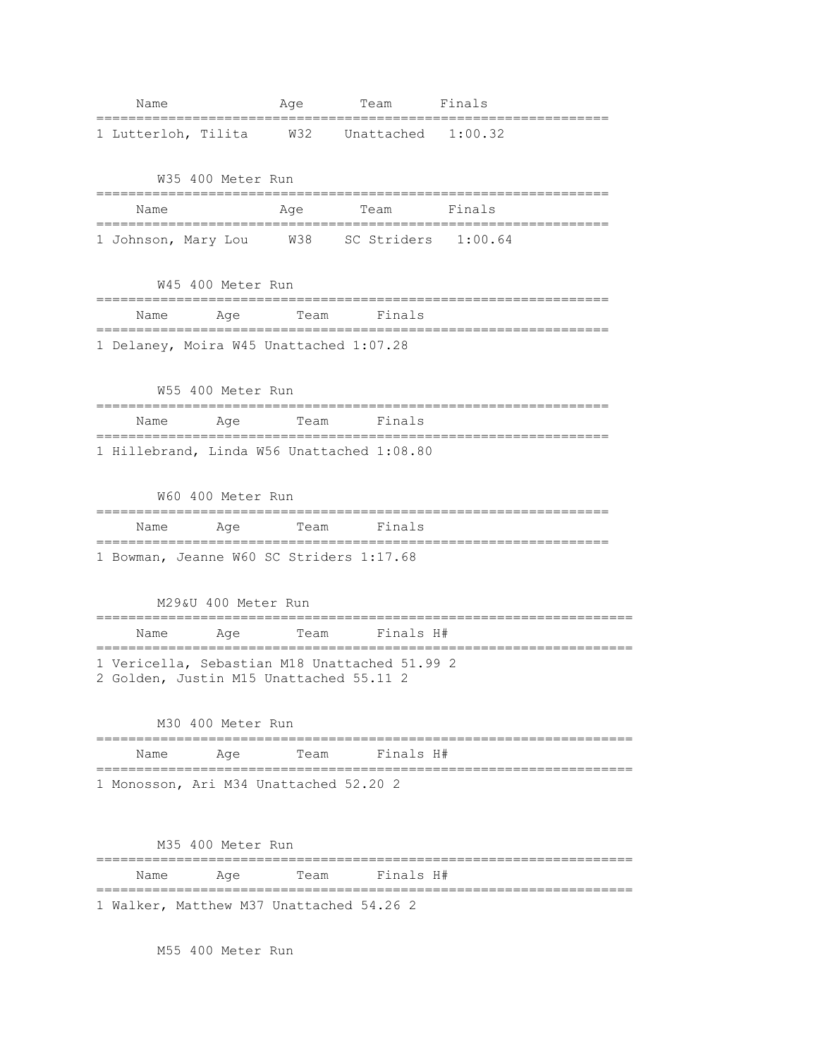| Name                                                                                     | Age  | Team                   | Finals |
|------------------------------------------------------------------------------------------|------|------------------------|--------|
| 1 Lutterloh, Tilita                                                                      |      | W32 Unattached 1:00.32 |        |
| W35 400 Meter Run                                                                        |      |                        |        |
| Name                                                                                     | Age  | Team                   | Finals |
| 1 Johnson, Mary Lou W38 SC Striders 1:00.64                                              |      |                        |        |
| W45 400 Meter Run                                                                        |      |                        |        |
| Name<br>Age<br>====================                                                      | Team | Finals<br>.=========   |        |
| 1 Delaney, Moira W45 Unattached 1:07.28                                                  |      |                        |        |
| W55 400 Meter Run                                                                        |      |                        |        |
| Name<br>Aqe                                                                              | Team | Finals                 |        |
| 1 Hillebrand, Linda W56 Unattached 1:08.80                                               |      |                        |        |
| W60 400 Meter Run                                                                        |      |                        |        |
| Name<br>Age                                                                              | Team | Finals                 |        |
| 1 Bowman, Jeanne W60 SC Striders 1:17.68                                                 |      |                        |        |
| M29&U 400 Meter Run                                                                      |      |                        |        |
| Age<br>Name                                                                              | Team | Finals H#              |        |
| 1 Vericella, Sebastian M18 Unattached 51.99 2<br>2 Golden, Justin M15 Unattached 55.11 2 |      |                        |        |
| M30 400 Meter Run                                                                        |      |                        |        |
| Age<br>Name                                                                              | Team | Finals H#              |        |
| 1 Monosson, Ari M34 Unattached 52.20 2                                                   |      |                        |        |
|                                                                                          |      |                        |        |
| M35 400 Meter Run                                                                        |      |                        |        |
| Name<br>Age                                                                              | Team | Finals H#              |        |
| 1 Walker, Matthew M37 Unattached 54.26 2                                                 |      |                        |        |

M55 400 Meter Run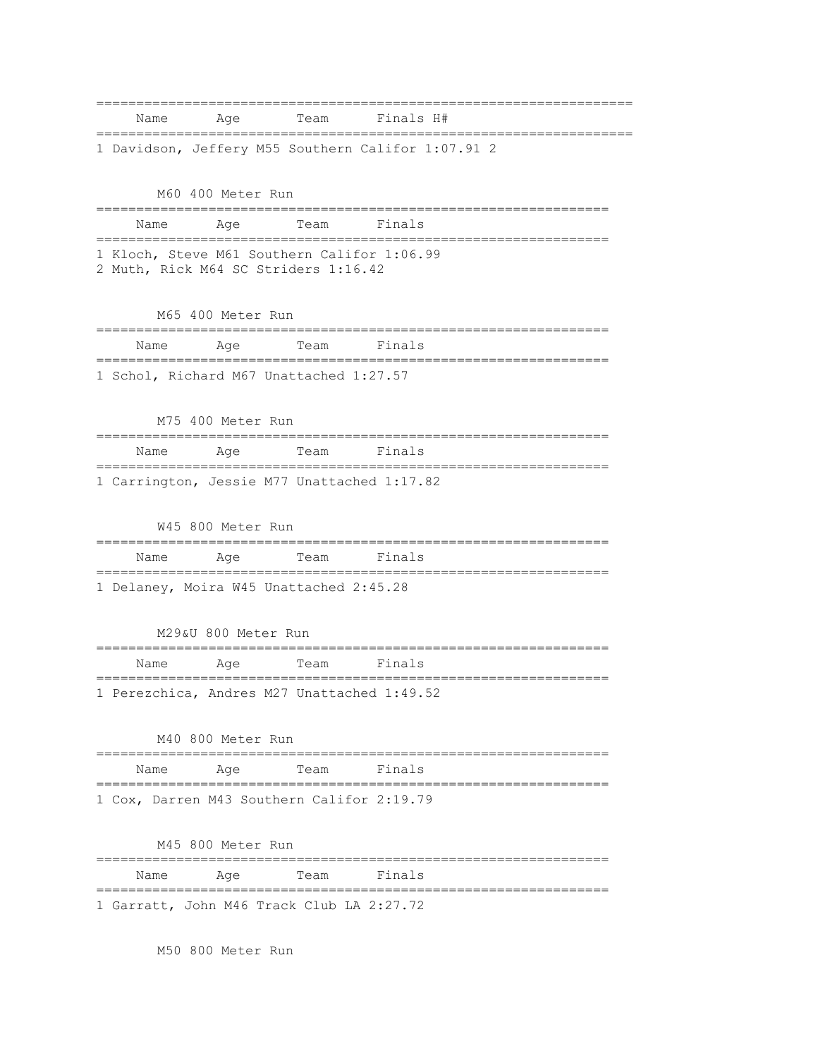| Name | Aqe                                                | Team | Finals H# |  |  |  |
|------|----------------------------------------------------|------|-----------|--|--|--|
|      | 1 Davidson, Jeffery M55 Southern Califor 1:07.91 2 |      |           |  |  |  |

M60 400 Meter Run ================================================================ Name Age Team Finals ================================================================ 1 Kloch, Steve M61 Southern Califor 1:06.99 2 Muth, Rick M64 SC Striders 1:16.42

M65 400 Meter Run

| Name | Age | Team Finals                             |  |  |  |
|------|-----|-----------------------------------------|--|--|--|
|      |     | 1 Schol, Richard M67 Unattached 1:27.57 |  |  |  |

|                                             | M75 400 Meter Run |             |  |
|---------------------------------------------|-------------------|-------------|--|
| Name                                        | Aae               | Team Finals |  |
| 1 Carrington, Jessie M77 Unattached 1:17.82 |                   |             |  |

W45 800 Meter Run ================================================================ Name Age Team Finals ================================================================ 1 Delaney, Moira W45 Unattached 2:45.28

M29&U 800 Meter Run ================================================================ Name Age Team Finals ================================================================ 1 Perezchica, Andres M27 Unattached 1:49.52

|  | M40 800 Meter Run |     |  |             |                                            |  |
|--|-------------------|-----|--|-------------|--------------------------------------------|--|
|  | Name              | Aae |  | Team Finals |                                            |  |
|  |                   |     |  |             | 1 Cox, Darren M43 Southern Califor 2:19.79 |  |

M45 800 Meter Run

| Name | Aae |                                           | Team Finals |  |
|------|-----|-------------------------------------------|-------------|--|
|      |     |                                           |             |  |
|      |     | 1 Garratt, John M46 Track Club LA 2:27.72 |             |  |

M50 800 Meter Run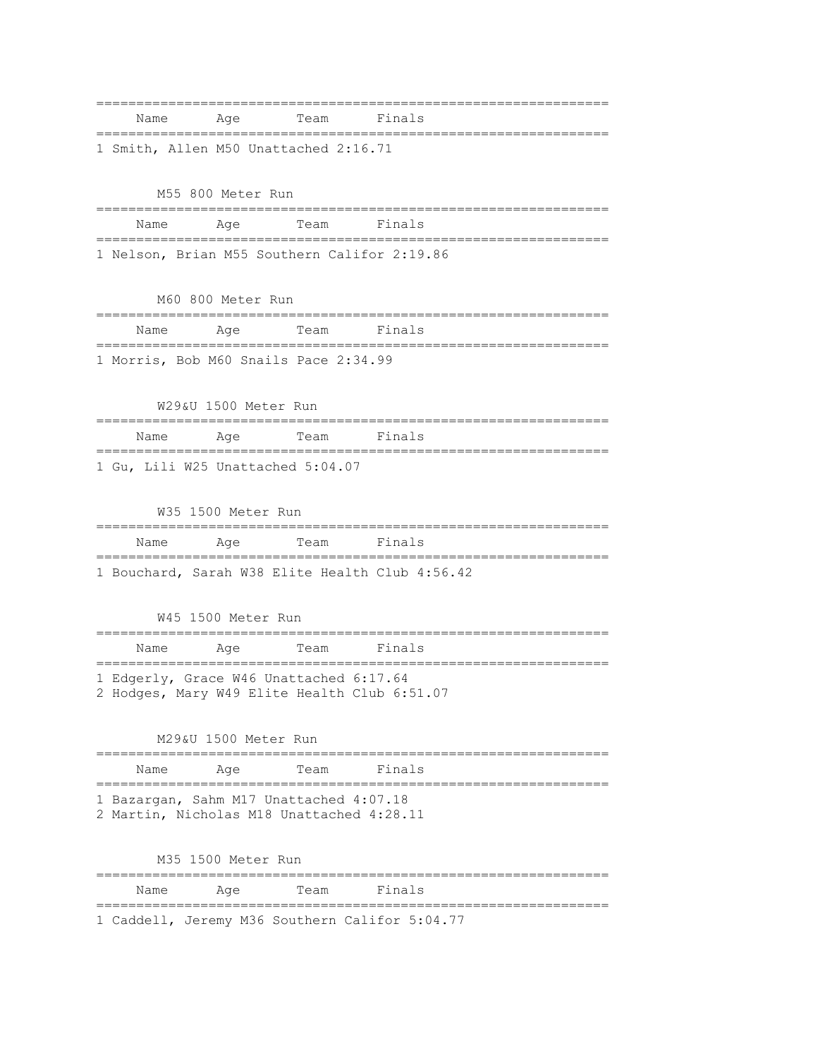================================================================ Name Age Team Finals ================================================================ 1 Smith, Allen M50 Unattached 2:16.71

M55 800 Meter Run ================================================================ Name Age Team Finals ================================================================ 1 Nelson, Brian M55 Southern Califor 2:19.86

M60 800 Meter Run ================================================================ Name Age Team Finals ================================================================ 1 Morris, Bob M60 Snails Pace 2:34.99

W29&U 1500 Meter Run ================================================================ Name Age Team Finals ================================================================ 1 Gu, Lili W25 Unattached 5:04.07

W35 1500 Meter Run ================================================================ Name Age Team Finals ================================================================ 1 Bouchard, Sarah W38 Elite Health Club 4:56.42

W45 1500 Meter Run ================================================================ Name Age Team Finals ================================================================ 1 Edgerly, Grace W46 Unattached 6:17.64 2 Hodges, Mary W49 Elite Health Club 6:51.07

M29&U 1500 Meter Run ================================================================ Name Age Team Finals ================================================================ 1 Bazargan, Sahm M17 Unattached 4:07.18 2 Martin, Nicholas M18 Unattached 4:28.11

M35 1500 Meter Run ================================================================ Name Age Team Finals ================================================================ 1 Caddell, Jeremy M36 Southern Califor 5:04.77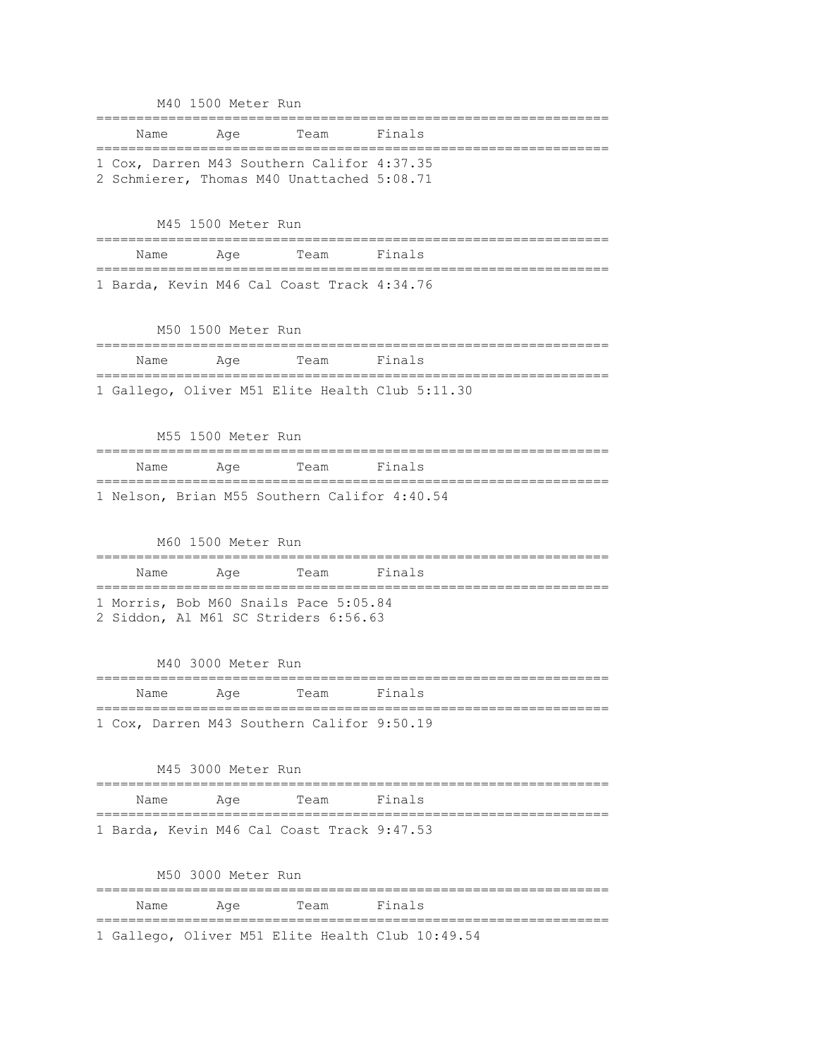|      | M40 1500 Meter Run                              |                                                                                          |                                                  |
|------|-------------------------------------------------|------------------------------------------------------------------------------------------|--------------------------------------------------|
| Name | Age<br>;====================                    | Team                                                                                     | Finals                                           |
|      |                                                 | 1 Cox, Darren M43 Southern Califor 4:37.35<br>2 Schmierer, Thomas M40 Unattached 5:08.71 |                                                  |
|      | M45 1500 Meter Run                              |                                                                                          |                                                  |
| Name | Age                                             | Team                                                                                     | Finals                                           |
|      |                                                 | 1 Barda, Kevin M46 Cal Coast Track 4:34.76                                               |                                                  |
|      | M50 1500 Meter Run<br>========================= |                                                                                          |                                                  |
| Name | Aqe                                             | Team                                                                                     | Finals                                           |
|      |                                                 |                                                                                          | 1 Gallego, Oliver M51 Elite Health Club 5:11.30  |
|      | M55 1500 Meter Run                              |                                                                                          |                                                  |
| Name | Age<br>----------------------                   | Team<br>________                                                                         | Finals<br>===========                            |
|      |                                                 | 1 Nelson, Brian M55 Southern Califor 4:40.54                                             |                                                  |
|      | M60 1500 Meter Run                              |                                                                                          |                                                  |
| Name | Age<br>=============================            | Team                                                                                     | Finals                                           |
|      |                                                 | 1 Morris, Bob M60 Snails Pace 5:05.84<br>2 Siddon, Al M61 SC Striders 6:56.63            |                                                  |
|      | M40 3000 Meter Run                              |                                                                                          |                                                  |
| Name | Aae                                             | Team                                                                                     | Finals                                           |
|      |                                                 | 1 Cox, Darren M43 Southern Califor 9:50.19                                               |                                                  |
|      | M45 3000 Meter Run                              |                                                                                          |                                                  |
| Name | Age                                             | Team                                                                                     | Finals                                           |
|      |                                                 | 1 Barda, Kevin M46 Cal Coast Track 9:47.53                                               |                                                  |
|      | M50 3000 Meter Run                              |                                                                                          |                                                  |
| Name | Age                                             | Team<br>;=============================                                                   | Finals                                           |
|      |                                                 |                                                                                          | 1 Gallego, Oliver M51 Elite Health Club 10:49.54 |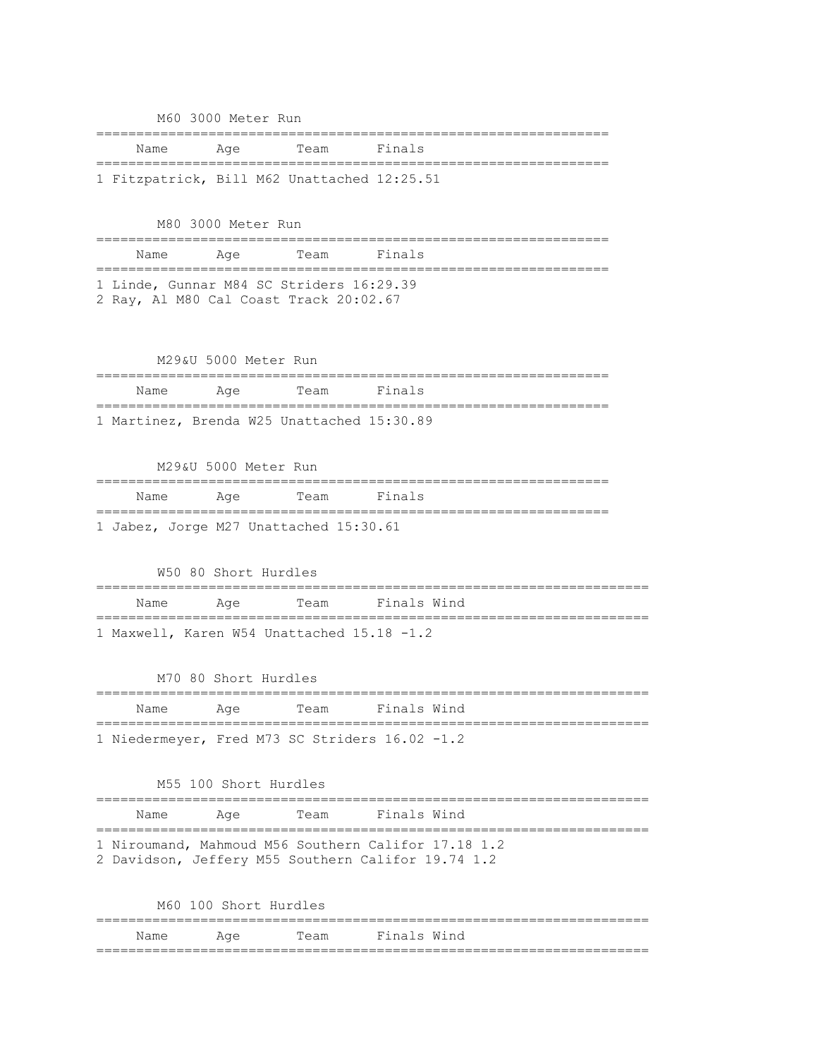|                                             | M60 3000 Meter Run |      |        |  |
|---------------------------------------------|--------------------|------|--------|--|
| Name                                        | Aae                | Team | Finals |  |
| 1 Fitzpatrick, Bill M62 Unattached 12:25.51 |                    |      |        |  |

# M80 3000 Meter Run ================================================================ Name Age Team Finals ================================================================ 1 Linde, Gunnar M84 SC Striders 16:29.39 2 Ray, Al M80 Cal Coast Track 20:02.67

# M29&U 5000 Meter Run ================================================================ Name Age Team Finals ================================================================ 1 Martinez, Brenda W25 Unattached 15:30.89

M29&U 5000 Meter Run ================================================================ Name Age Team Finals ================================================================ 1 Jabez, Jorge M27 Unattached 15:30.61

# W50 80 Short Hurdles ===================================================================== Name Age Team Finals Wind ===================================================================== 1 Maxwell, Karen W54 Unattached 15.18 -1.2

|                                                | M70 80 Short Hurdles |      |             |  |  |
|------------------------------------------------|----------------------|------|-------------|--|--|
| Name                                           | Aae                  | Team | Finals Wind |  |  |
| 1 Niedermeyer, Fred M73 SC Striders 16.02 -1.2 |                      |      |             |  |  |

|      | M55 100 Short Hurdles |      |                                                                                                           |
|------|-----------------------|------|-----------------------------------------------------------------------------------------------------------|
| Name | Aae                   | Team | Finals Wind                                                                                               |
|      |                       |      | 1 Niroumand, Mahmoud M56 Southern Califor 17.18 1.2<br>2 Davidson, Jeffery M55 Southern Califor 19.74 1.2 |

|      | M60 100 Short Hurdles |                  |
|------|-----------------------|------------------|
|      |                       |                  |
| Name | <b>Example 2</b>      | Team Finals Wind |
|      |                       |                  |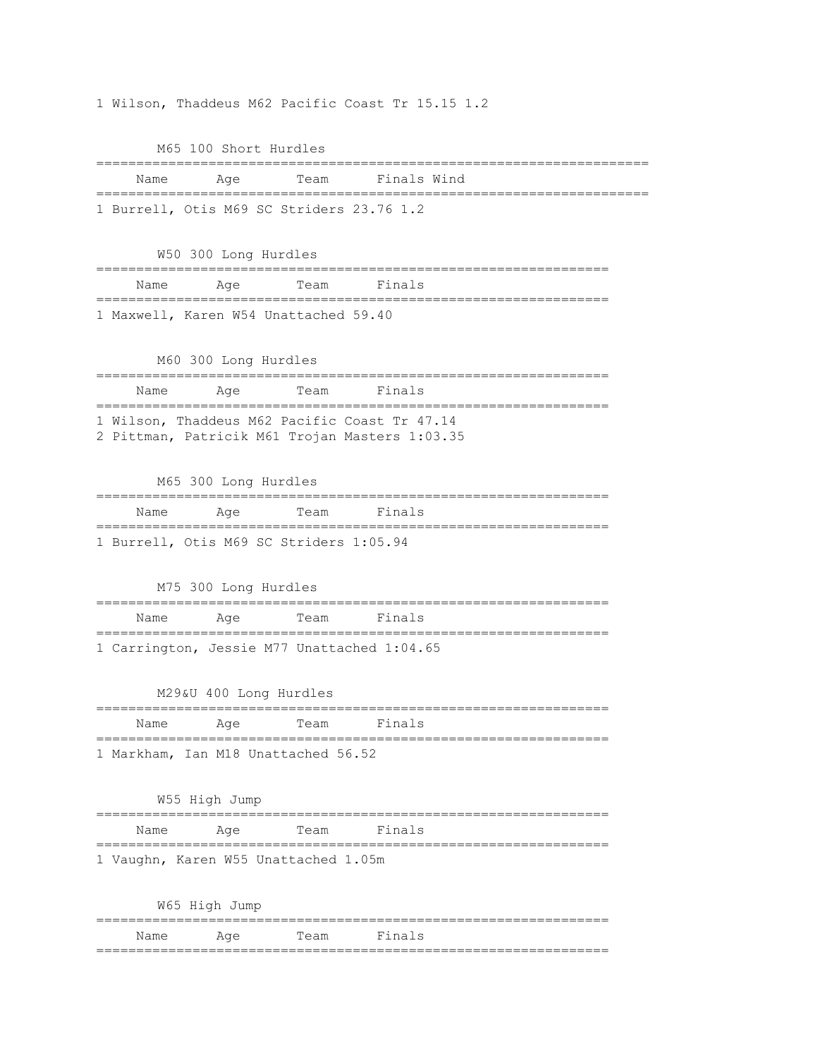1 Wilson, Thaddeus M62 Pacific Coast Tr 15.15 1.2

M65 100 Short Hurdles ===================================================================== Name Age Team Finals Wind ===================================================================== 1 Burrell, Otis M69 SC Striders 23.76 1.2 W50 300 Long Hurdles ================================================================ Name Age Team Finals ================================================================ 1 Maxwell, Karen W54 Unattached 59.40 M60 300 Long Hurdles ================================================================ Name Age Team Finals ================================================================ 1 Wilson, Thaddeus M62 Pacific Coast Tr 47.14 2 Pittman, Patricik M61 Trojan Masters 1:03.35 M65 300 Long Hurdles ================================================================ Name Age Team Finals ================================================================ 1 Burrell, Otis M69 SC Striders 1:05.94 M75 300 Long Hurdles ================================================================ Name Age Team Finals ================================================================ 1 Carrington, Jessie M77 Unattached 1:04.65 M29&U 400 Long Hurdles ================================================================ Name Age Team Finals ================================================================ 1 Markham, Ian M18 Unattached 56.52 W55 High Jump ================================================================ Name Age Team Finals ================================================================ 1 Vaughn, Karen W55 Unattached 1.05m W65 High Jump

|             |     |      | ________________________<br>___ |
|-------------|-----|------|---------------------------------|
| . .<br>Name | Age | Team | $Findn = 1$<br>$\circ$          |
|             |     |      |                                 |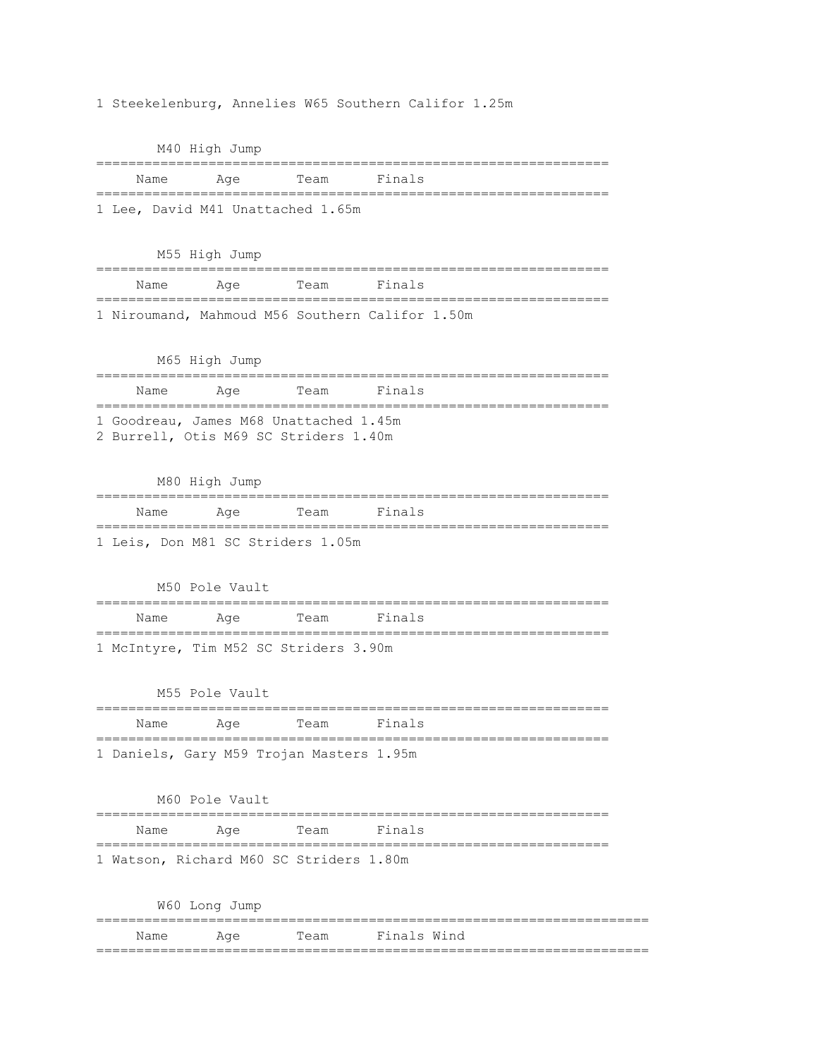1 Steekelenburg, Annelies W65 Southern Califor 1.25m

M40 High Jump ================================================================ Name Age Team Finals ================================================================ 1 Lee, David M41 Unattached 1.65m M55 High Jump ================================================================ Name Age Team Finals ================================================================ 1 Niroumand, Mahmoud M56 Southern Califor 1.50m M65 High Jump ================================================================ Name Age Team Finals ================================================================ 1 Goodreau, James M68 Unattached 1.45m 2 Burrell, Otis M69 SC Striders 1.40m M80 High Jump ================================================================ Name Age Team Finals ================================================================ 1 Leis, Don M81 SC Striders 1.05m M50 Pole Vault ================================================================ Name Age Team Finals ================================================================ 1 McIntyre, Tim M52 SC Striders 3.90m M55 Pole Vault ================================================================ Name Age Team Finals ================================================================ 1 Daniels, Gary M59 Trojan Masters 1.95m M60 Pole Vault ================================================================ Name Age Team Finals ================================================================ 1 Watson, Richard M60 SC Striders 1.80m W60 Long Jump ===================================================================== Name Age Team Finals Wind =====================================================================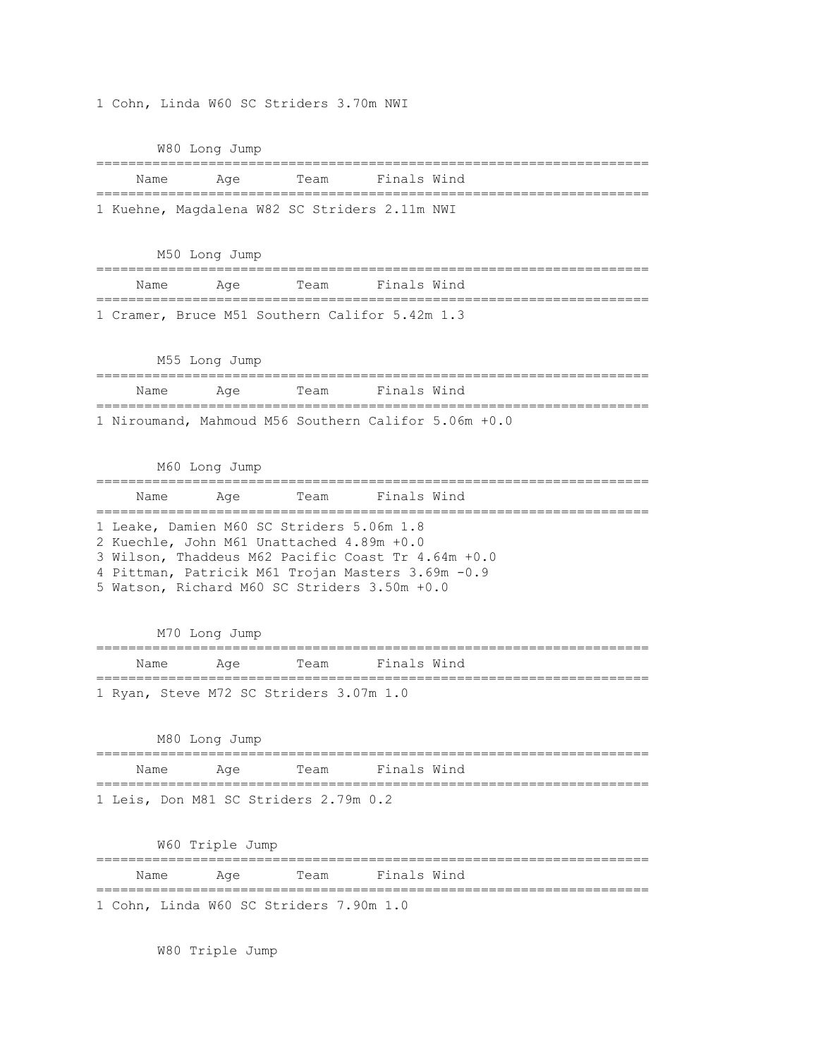1 Cohn, Linda W60 SC Striders 3.70m NWI

W80 Long Jump

|  | Name Age                                      | Team Finals Wind |  |
|--|-----------------------------------------------|------------------|--|
|  |                                               |                  |  |
|  | 1 Kuehne, Magdalena W82 SC Striders 2.11m NWI |                  |  |

M50 Long Jump ===================================================================== Name Age Team Finals Wind ===================================================================== 1 Cramer, Bruce M51 Southern Califor 5.42m 1.3

M55 Long Jump

| Name | Aae                                                  | Team | Finals Wind |  |
|------|------------------------------------------------------|------|-------------|--|
|      | 1 Niroumand, Mahmoud M56 Southern Califor 5.06m +0.0 |      |             |  |

M60 Long Jump =====================================================================

| Name                                               | Aae | Team | Finals Wind |  |
|----------------------------------------------------|-----|------|-------------|--|
| 1 Leake, Damien M60 SC Striders 5.06m 1.8          |     |      |             |  |
| 2 Kuechle, John M61 Unattached 4.89m +0.0          |     |      |             |  |
| 3 Wilson, Thaddeus M62 Pacific Coast Tr 4.64m +0.0 |     |      |             |  |
| 4 Pittman, Patricik M61 Trojan Masters 3.69m -0.9  |     |      |             |  |
| 5 Watson, Richard M60 SC Striders 3.50m +0.0       |     |      |             |  |

M70 Long Jump

|  | Name Age |  | Team Finals Wind                        |  |  |
|--|----------|--|-----------------------------------------|--|--|
|  |          |  | 1 Ryan, Steve M72 SC Striders 3.07m 1.0 |  |  |

M80 Long Jump ===================================================================== Name Age Team Finals Wind ===================================================================== 1 Leis, Don M81 SC Striders 2.79m 0.2

W60 Triple Jump

===================================================================== Name Age Team Finals Wind ===================================================================== 1 Cohn, Linda W60 SC Striders 7.90m 1.0

W80 Triple Jump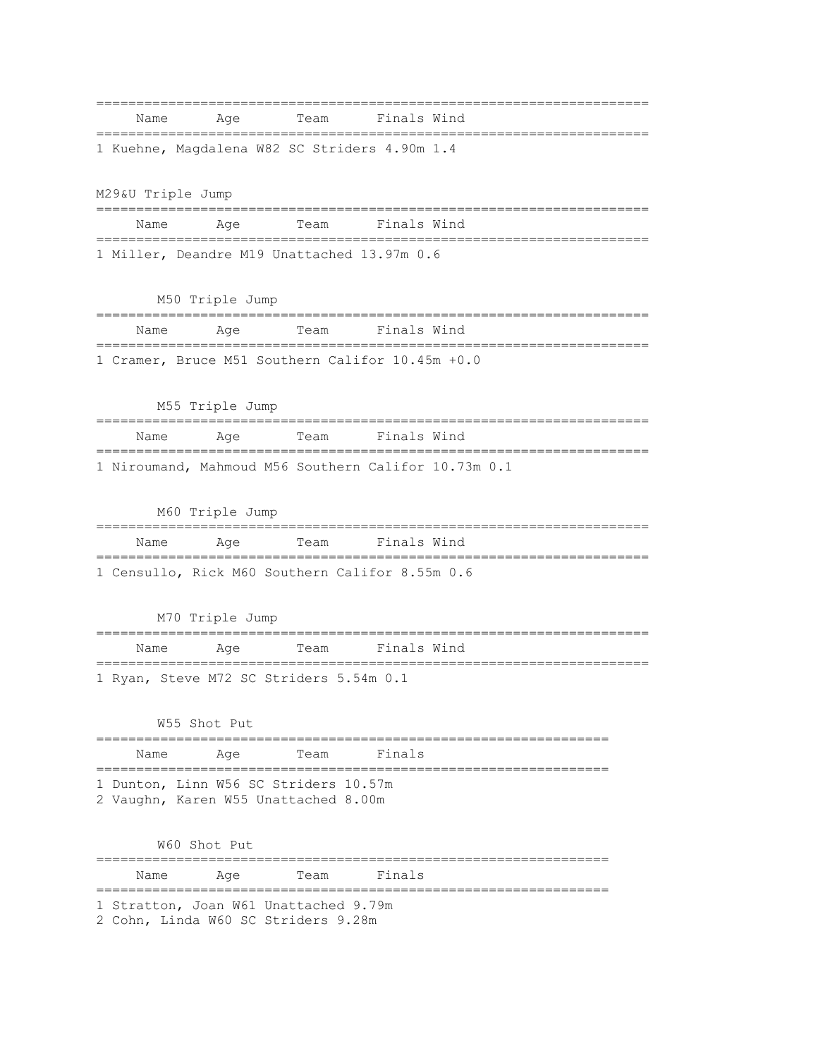| Name                                 | Age             | Team                                    | Finals Wind                                          |
|--------------------------------------|-----------------|-----------------------------------------|------------------------------------------------------|
|                                      |                 |                                         | 1 Kuehne, Magdalena W82 SC Striders 4.90m 1.4        |
|                                      |                 |                                         |                                                      |
| M29&U Triple Jump                    |                 |                                         |                                                      |
| Name                                 | Age             | Team                                    | Finals Wind                                          |
|                                      |                 |                                         | 1 Miller, Deandre M19 Unattached 13.97m 0.6          |
|                                      |                 |                                         |                                                      |
|                                      | M50 Triple Jump |                                         |                                                      |
| Name<br>============================ | Aqe             | Team                                    | Finals Wind                                          |
|                                      |                 |                                         | 1 Cramer, Bruce M51 Southern Califor 10.45m +0.0     |
|                                      |                 |                                         |                                                      |
|                                      | M55 Triple Jump |                                         |                                                      |
| Name                                 | Aqe             | Team                                    | Finals Wind                                          |
|                                      |                 |                                         | 1 Niroumand, Mahmoud M56 Southern Califor 10.73m 0.1 |
|                                      |                 |                                         |                                                      |
|                                      | M60 Triple Jump |                                         |                                                      |
| Name                                 | Age             | Team                                    | Finals Wind                                          |
|                                      |                 |                                         | 1 Censullo, Rick M60 Southern Califor 8.55m 0.6      |
|                                      |                 |                                         |                                                      |
|                                      | M70 Triple Jump |                                         |                                                      |
| Name                                 | Age             | Team                                    | Finals Wind                                          |
|                                      |                 | 1 Ryan, Steve M72 SC Striders 5.54m 0.1 |                                                      |
|                                      |                 |                                         |                                                      |
|                                      | W55 Shot Put    |                                         |                                                      |
| Name                                 | Aqe             | Team                                    | Finals                                               |
| ============================         |                 | 1 Dunton, Linn W56 SC Striders 10.57m   |                                                      |
|                                      |                 | 2 Vaughn, Karen W55 Unattached 8.00m    |                                                      |
|                                      | W60 Shot Put    |                                         |                                                      |
| Name                                 | Aqe             | Team                                    | Finals                                               |
|                                      |                 |                                         |                                                      |
|                                      |                 | 1 Stratton, Joan W61 Unattached 9.79m   |                                                      |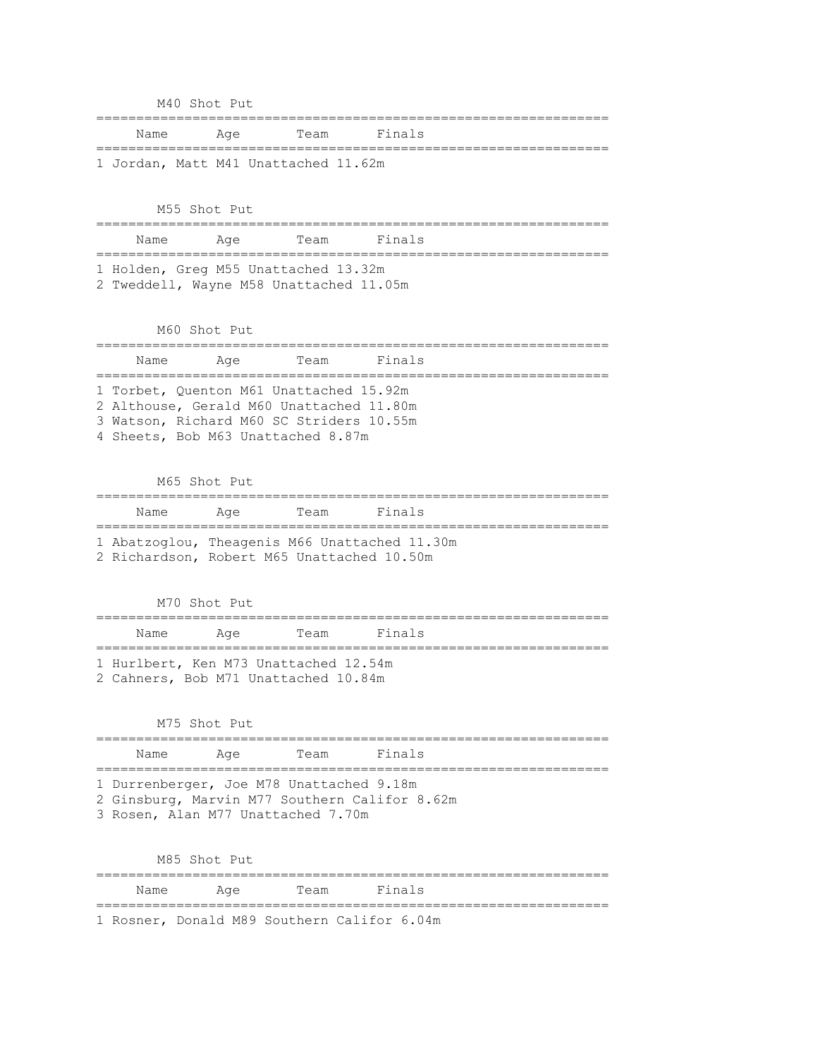M40 Shot Put ================================================================ Name Age Team Finals ================================================================ 1 Jordan, Matt M41 Unattached 11.62m M55 Shot Put ================================================================ Name Age Team Finals ================================================================ 1 Holden, Greg M55 Unattached 13.32m 2 Tweddell, Wayne M58 Unattached 11.05m M60 Shot Put ================================================================ Name Age Team Finals ================================================================ 1 Torbet, Quenton M61 Unattached 15.92m 2 Althouse, Gerald M60 Unattached 11.80m 3 Watson, Richard M60 SC Striders 10.55m 4 Sheets, Bob M63 Unattached 8.87m M65 Shot Put ================================================================ Name Age Team Finals ================================================================ 1 Abatzoglou, Theagenis M66 Unattached 11.30m 2 Richardson, Robert M65 Unattached 10.50m M70 Shot Put ================================================================ Name Age Team Finals ================================================================ 1 Hurlbert, Ken M73 Unattached 12.54m 2 Cahners, Bob M71 Unattached 10.84m M75 Shot Put ================================================================ Name Age Team Finals ================================================================ 1 Durrenberger, Joe M78 Unattached 9.18m 2 Ginsburg, Marvin M77 Southern Califor 8.62m 3 Rosen, Alan M77 Unattached 7.70m M85 Shot Put ================================================================ Name Age Team Finals ================================================================ 1 Rosner, Donald M89 Southern Califor 6.04m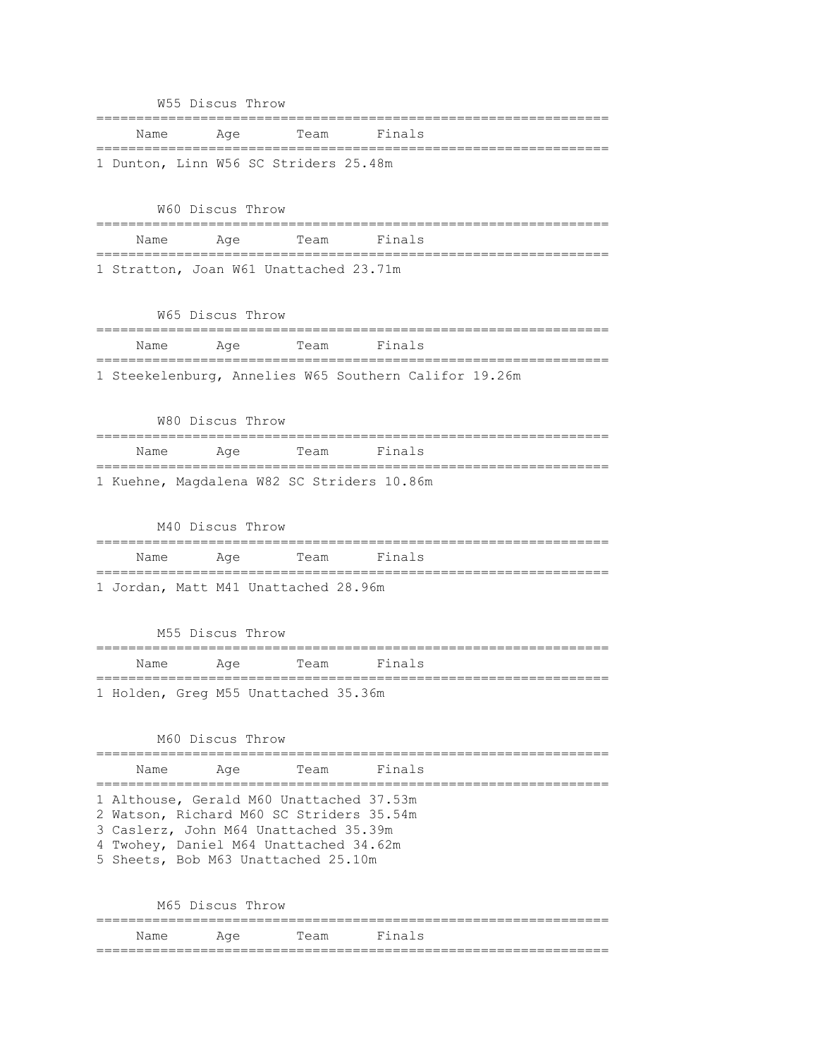|      | W55 Discus Throw |                                                                               |                                                       |  |
|------|------------------|-------------------------------------------------------------------------------|-------------------------------------------------------|--|
| Name | Age              | Team                                                                          | Finals                                                |  |
|      |                  | 1 Dunton, Linn W56 SC Striders 25.48m                                         | ========                                              |  |
|      |                  |                                                                               |                                                       |  |
|      | W60 Discus Throw |                                                                               |                                                       |  |
| Name | Age              | Team                                                                          | Finals                                                |  |
|      |                  | 1 Stratton, Joan W61 Unattached 23.71m                                        |                                                       |  |
|      |                  |                                                                               |                                                       |  |
|      | W65 Discus Throw | =====================================                                         |                                                       |  |
| Name | Aqe              | Team                                                                          | Finals                                                |  |
|      |                  |                                                                               | 1 Steekelenburg, Annelies W65 Southern Califor 19.26m |  |
|      |                  |                                                                               |                                                       |  |
|      | W80 Discus Throw |                                                                               |                                                       |  |
| Name | Aqe              | Team                                                                          | Finals                                                |  |
|      |                  | 1 Kuehne, Magdalena W82 SC Striders 10.86m                                    |                                                       |  |
|      |                  |                                                                               |                                                       |  |
|      | M40 Discus Throw |                                                                               |                                                       |  |
| Name | Age              | Team                                                                          | Finals                                                |  |
|      |                  | 1 Jordan, Matt M41 Unattached 28.96m                                          |                                                       |  |
|      |                  |                                                                               |                                                       |  |
|      | M55 Discus Throw |                                                                               |                                                       |  |
| Name | Age              | Team                                                                          | Finals                                                |  |
|      |                  | 1 Holden, Greg M55 Unattached 35.36m                                          |                                                       |  |
|      |                  |                                                                               |                                                       |  |
|      | M60 Discus Throw |                                                                               |                                                       |  |
| Name | Aqe              | Team                                                                          | Finals                                                |  |
|      |                  | 1 Althouse, Gerald M60 Unattached 37.53m                                      |                                                       |  |
|      |                  | 2 Watson, Richard M60 SC Striders 35.54m                                      |                                                       |  |
|      |                  | 3 Caslerz, John M64 Unattached 35.39m                                         |                                                       |  |
|      |                  | 4 Twohey, Daniel M64 Unattached 34.62m<br>5 Sheets, Bob M63 Unattached 25.10m |                                                       |  |
|      |                  |                                                                               |                                                       |  |
|      | M65 Discus Throw |                                                                               |                                                       |  |
| Name | Age              | Team                                                                          | Finals                                                |  |

================================================================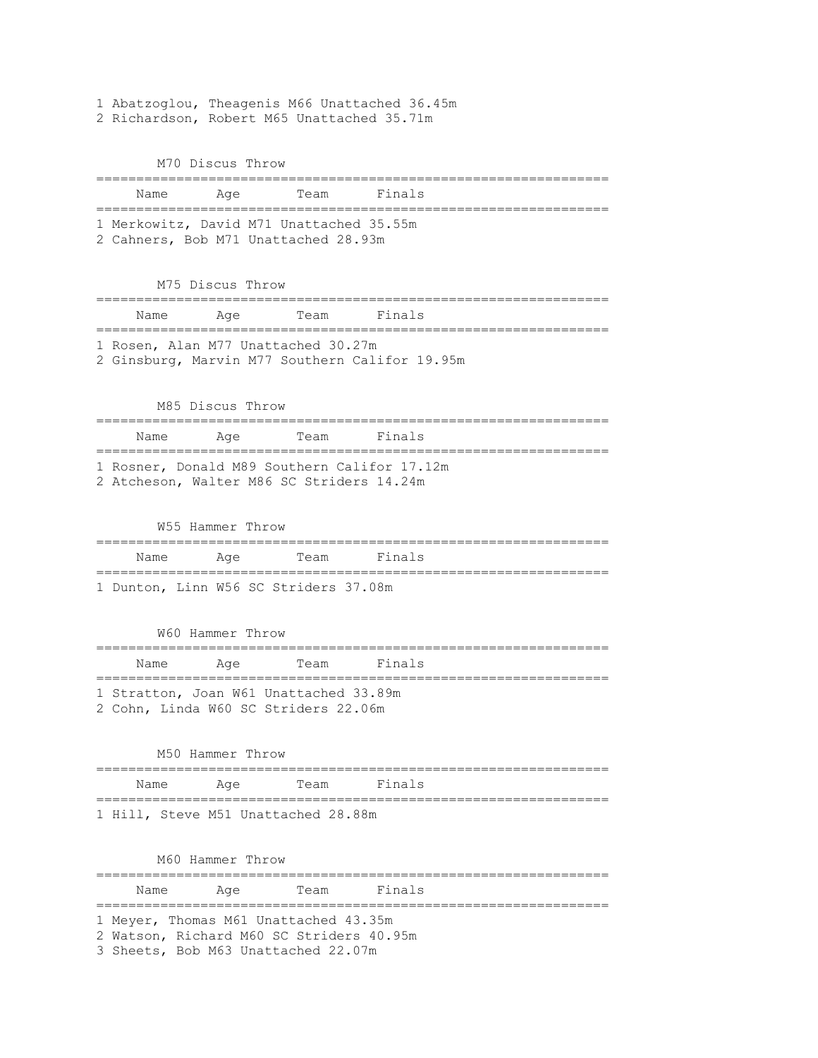1 Abatzoglou, Theagenis M66 Unattached 36.45m 2 Richardson, Robert M65 Unattached 35.71m

M70 Discus Throw

| Name | Aqe                                   | Team                                                                                                                     | Fınals                                         |  |
|------|---------------------------------------|--------------------------------------------------------------------------------------------------------------------------|------------------------------------------------|--|
|      |                                       | 1 Merkowitz, David M71 Unattached 35.55m<br>2 Cahners, Bob M71 Unattached 28.93m                                         |                                                |  |
|      |                                       |                                                                                                                          |                                                |  |
|      | M75 Discus Throw                      |                                                                                                                          |                                                |  |
| Name | Age                                   | Team                                                                                                                     | Finals                                         |  |
|      |                                       | 1 Rosen, Alan M77 Unattached 30.27m                                                                                      | 2 Ginsburg, Marvin M77 Southern Califor 19.95m |  |
|      | M85 Discus Throw                      |                                                                                                                          |                                                |  |
| Name | Age                                   | =========<br>Team                                                                                                        | Finals                                         |  |
|      |                                       | 2 Atcheson, Walter M86 SC Striders 14.24m                                                                                | 1 Rosner, Donald M89 Southern Califor 17.12m   |  |
|      | W55 Hammer Throw<br>----------------- |                                                                                                                          |                                                |  |
| Name | Age                                   | Team                                                                                                                     | Finals                                         |  |
|      |                                       | 1 Dunton, Linn W56 SC Striders 37.08m                                                                                    |                                                |  |
|      | W60 Hammer Throw                      |                                                                                                                          |                                                |  |
| Name | Aqe                                   | Team                                                                                                                     | Finals                                         |  |
|      | ______                                | 1 Stratton, Joan W61 Unattached 33.89m                                                                                   |                                                |  |
|      |                                       | 2 Cohn, Linda W60 SC Striders 22.06m                                                                                     |                                                |  |
|      | M50 Hammer Throw                      |                                                                                                                          |                                                |  |
| Name | Age                                   | Team                                                                                                                     | Finals                                         |  |
|      |                                       | 1 Hill, Steve M51 Unattached 28.88m                                                                                      |                                                |  |
|      |                                       |                                                                                                                          |                                                |  |
|      | M60 Hammer Throw                      |                                                                                                                          |                                                |  |
| Name | Aqe                                   | Team                                                                                                                     | Finals                                         |  |
|      |                                       | 1 Meyer, Thomas M61 Unattached 43.35m<br>2 Watson, Richard M60 SC Striders 40.95m<br>3 Sheets, Bob M63 Unattached 22.07m |                                                |  |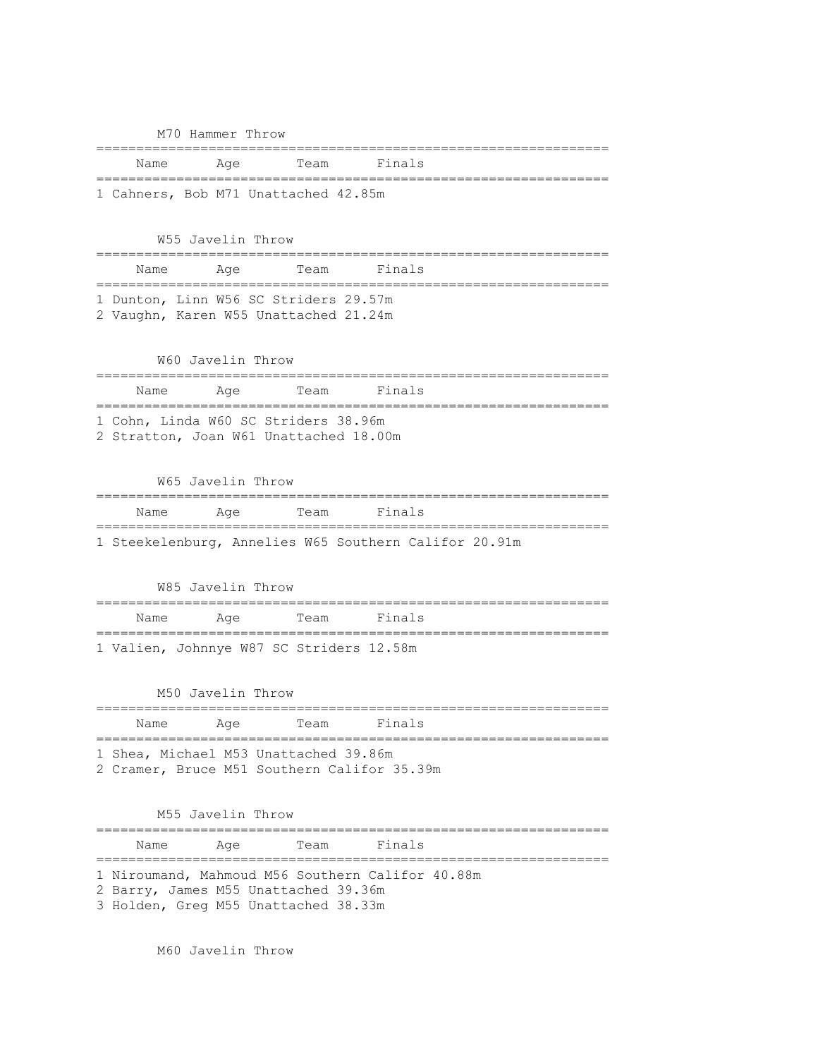|                     | M70 Hammer Throw             |                                                                                |                                                       |  |
|---------------------|------------------------------|--------------------------------------------------------------------------------|-------------------------------------------------------|--|
| Name                | Aqe                          | Team                                                                           | Finals                                                |  |
| ================    |                              | ==========<br>1 Cahners, Bob M71 Unattached 42.85m                             | =======                                               |  |
|                     | W55 Javelin Throw            |                                                                                |                                                       |  |
| Name                | Age<br>;==================== | Team<br>------                                                                 | Finals                                                |  |
|                     |                              | 1 Dunton, Linn W56 SC Striders 29.57m<br>2 Vaughn, Karen W55 Unattached 21.24m |                                                       |  |
|                     | W60 Javelin Throw            |                                                                                |                                                       |  |
| Name<br>----------- | Age<br>========              | Team                                                                           | Finals                                                |  |
|                     |                              | 1 Cohn, Linda W60 SC Striders 38.96m<br>2 Stratton, Joan W61 Unattached 18.00m |                                                       |  |
|                     | W65 Javelin Throw            |                                                                                |                                                       |  |
| Name                | Aqe                          | Team                                                                           | Finals                                                |  |
|                     |                              |                                                                                | 1 Steekelenburg, Annelies W65 Southern Califor 20.91m |  |
|                     | W85 Javelin Throw            | .=================                                                             |                                                       |  |
| Name                | Age                          | Team                                                                           | Finals                                                |  |
|                     |                              | 1 Valien, Johnnye W87 SC Striders 12.58m                                       |                                                       |  |
|                     | M50 Javelin Throw            |                                                                                |                                                       |  |
| Name                | Age                          | Team                                                                           | Finals                                                |  |
|                     |                              | 1 Shea, Michael M53 Unattached 39.86m                                          | 2 Cramer, Bruce M51 Southern Califor 35.39m           |  |
|                     | M55 Javelin Throw            |                                                                                |                                                       |  |
| Name Aqe            |                              |                                                                                | Team Finals                                           |  |
|                     |                              | 2 Barry, James M55 Unattached 39.36m<br>3 Holden, Greg M55 Unattached 38.33m   | 1 Niroumand, Mahmoud M56 Southern Califor 40.88m      |  |

M60 Javelin Throw